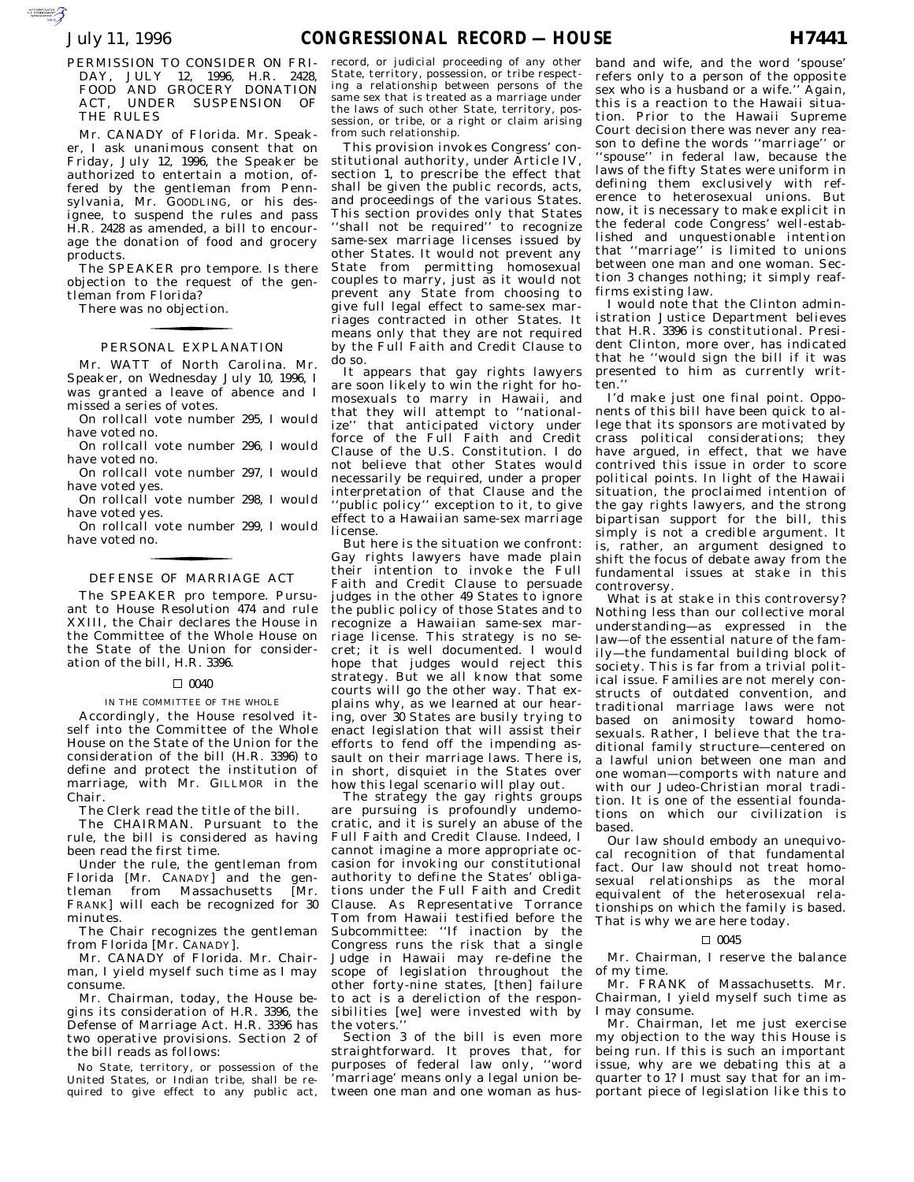PERMISSION TO CONSIDER ON FRI-DAY, JULY 12, 1996, H.R. 2428, FOOD AND GROCERY DONATION ACT, UNDER SUSPENSION OF THE RULES

Mr. CANADY of Florida. Mr. Speaker, I ask unanimous consent that on Friday, July 12, 1996, the Speaker be authorized to entertain a motion, offered by the gentleman from Pennsylvania, Mr. GOODLING, or his designee, to suspend the rules and pass H.R. 2428 as amended, a bill to encourage the donation of food and grocery products.

The SPEAKER pro tempore. Is there objection to the request of the gentleman from Florida?

There was no objection.

# PERSONAL EXPLANATION for the control of the control of

Mr. WATT of North Carolina. Mr. Speaker, on Wednesday July 10, 1996, I was granted a leave of abence and I missed a series of votes.

On rollcall vote number 295, I would have voted no.

On rollcall vote number 296, I would have voted no.

On rollcall vote number 297, I would have voted yes.

On rollcall vote number 298, I would have voted yes.

On rollcall vote number 299, I would have voted no.

# DEFENSE OF MARRIAGE ACT for the control of the control of

The SPEAKER pro tempore. Pursuant to House Resolution 474 and rule XXIII, the Chair declares the House in the Committee of the Whole House on the State of the Union for consideration of the bill, H.R. 3396.

#### $\Box$  0040

### IN THE COMMITTEE OF THE WHOLE

Accordingly, the House resolved itself into the Committee of the Whole House on the State of the Union for the consideration of the bill (H.R. 3396) to define and protect the institution of marriage, with Mr. GILLMOR in the Chair.

The Clerk read the title of the bill.

The CHAIRMAN. Pursuant to the rule, the bill is considered as having been read the first time.

Under the rule, the gentleman from Florida [Mr. CANADY] and the gentleman from Massachusetts [Mr. FRANK] will each be recognized for 30 minutes.

The Chair recognizes the gentleman from Florida [Mr. CANADY].

Mr. CANADY of Florida. Mr. Chairman, I yield myself such time as I may consume.

Mr. Chairman, today, the House begins its consideration of H.R. 3396, the Defense of Marriage Act. H.R. 3396 has two operative provisions. Section 2 of the bill reads as follows:

No State, territory, or possession of the United States, or Indian tribe, shall be required to give effect to any public act,

record, or judicial proceeding of any other State, territory, possession, or tribe respecting a relationship between persons of the same sex that is treated as a marriage under the laws of such other State, territory, possession, or tribe, or a right or claim arising from such relationship.

This provision invokes Congress' constitutional authority, under Article IV, section 1, to prescribe the effect that shall be given the public records, acts, and proceedings of the various States. This section provides only that States "shall not be required" to recognize same-sex marriage licenses issued by other States. It would not prevent any State from permitting homosexual couples to marry, just as it would not prevent any State from choosing to give full legal effect to same-sex marriages contracted in other States. It means only that they are not required by the Full Faith and Credit Clause to do so.

It appears that gay rights lawyers are soon likely to win the right for homosexuals to marry in Hawaii, and that they will attempt to ''nationalize'' that anticipated victory under force of the Full Faith and Credit Clause of the U.S. Constitution. I do not believe that other States would necessarily be required, under a proper interpretation of that Clause and the 'public policy'' exception to it, to give effect to a Hawaiian same-sex marriage license.

But here is the situation we confront: Gay rights lawyers have made plain their intention to invoke the Full Faith and Credit Clause to persuade judges in the other 49 States to ignore the public policy of those States and to recognize a Hawaiian same-sex marriage license. This strategy is no secret; it is well documented. I would hope that judges would reject this strategy. But we all know that some courts will go the other way. That explains why, as we learned at our hearing, over 30 States are busily trying to enact legislation that will assist their efforts to fend off the impending assault on their marriage laws. There is, in short, disquiet in the States over how this legal scenario will play out.

The strategy the gay rights groups are pursuing is profoundly undemocratic, and it is surely an abuse of the Full Faith and Credit Clause. Indeed, I cannot imagine a more appropriate occasion for invoking our constitutional authority to define the States' obligations under the Full Faith and Credit Clause. As Representative Torrance Tom from Hawaii testified before the Subcommittee: ''If inaction by the Congress runs the risk that a single Judge in Hawaii may re-define the scope of legislation throughout the other forty-nine states, [then] failure to act is a dereliction of the responsibilities [we] were invested with by the voters.''

Section 3 of the bill is even more straightforward. It proves that, for purposes of federal law only, ''word 'marriage' means only a legal union between one man and one woman as hus-

band and wife, and the word 'spouse' refers only to a person of the opposite sex who is a husband or a wife." Again, this is a reaction to the Hawaii situation. Prior to the Hawaii Supreme Court decision there was never any reason to define the words ''marriage'' or ''spouse'' in federal law, because the laws of the fifty States were uniform in defining them exclusively with reference to heterosexual unions. But now, it is necessary to make explicit in the federal code Congress' well-established and unquestionable intention that ''marriage'' is limited to unions between one man and one woman. Section 3 changes nothing; it simply reaffirms existing law.

I would note that the Clinton administration Justice Department believes that H.R. 3396 is constitutional. President Clinton, more over, has indicated that he ''would sign the bill if it was presented to him as currently written.''

I'd make just one final point. Opponents of this bill have been quick to allege that its sponsors are motivated by crass political considerations; they have argued, in effect, that we have contrived this issue in order to score political points. In light of the Hawaii situation, the proclaimed intention of the gay rights lawyers, and the strong bipartisan support for the bill, this simply is not a credible argument. It is, rather, an argument designed to shift the focus of debate away from the fundamental issues at stake in this controversy.

What is at stake in this controversy? Nothing less than our collective moral understanding—as expressed in the law—of the essential nature of the family—the fundamental building block of society. This is far from a trivial political issue. Families are not merely constructs of outdated convention, and traditional marriage laws were not based on animosity toward homosexuals. Rather, I believe that the traditional family structure—centered on a lawful union between one man and one woman—comports with nature and with our Judeo-Christian moral tradition. It is one of the essential foundations on which our civilization is based.

Our law should embody an unequivocal recognition of that fundamental fact. Our law should not treat homosexual relationships as the moral equivalent of the heterosexual relationships on which the family is based. That is why we are here today.

### $\Box$  0045

Mr. Chairman, I reserve the balance of my time.

Mr. FRANK of Massachusetts. Mr. Chairman, I yield myself such time as I may consume.

Mr. Chairman, let me just exercise my objection to the way this House is being run. If this is such an important issue, why are we debating this at a quarter to 1? I must say that for an important piece of legislation like this to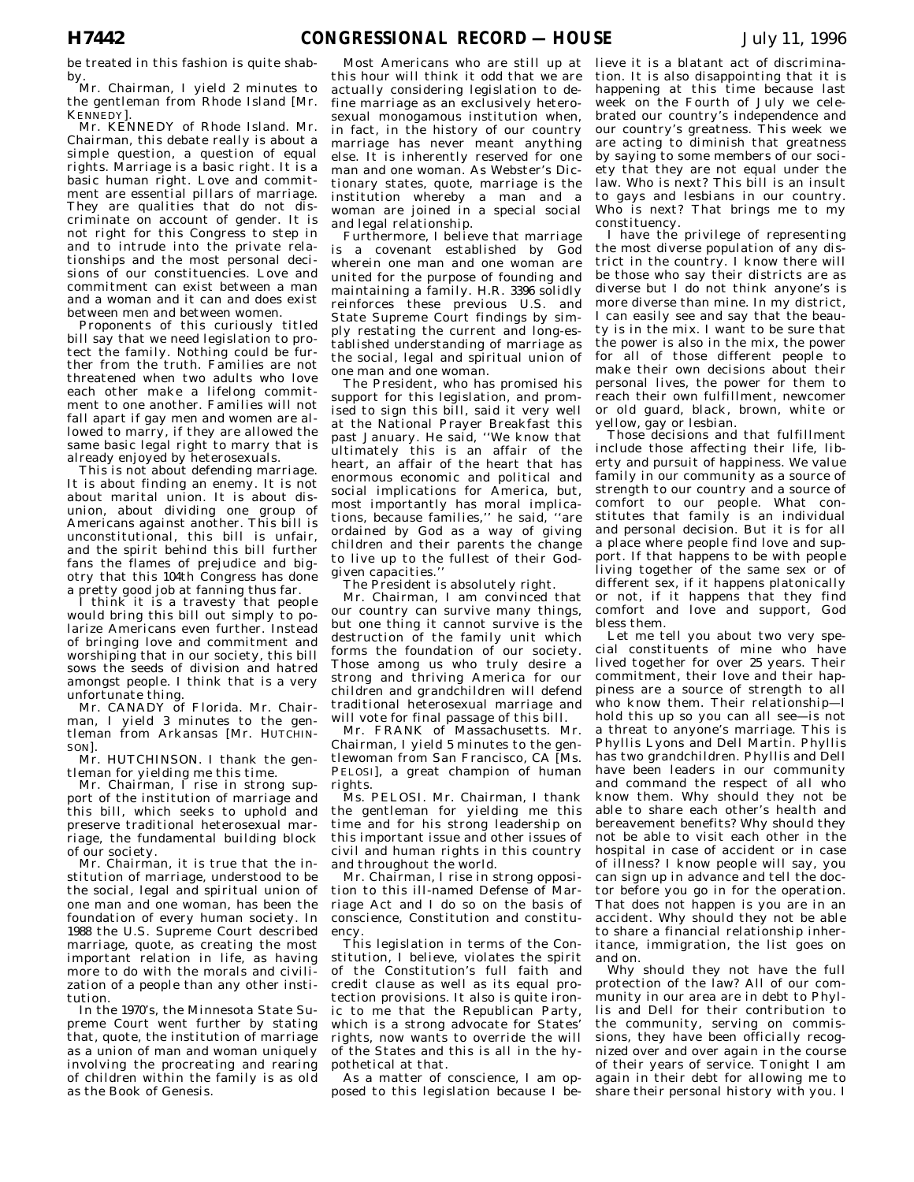be treated in this fashion is quite shabby.

Mr. Chairman, I yield 2 minutes to the gentleman from Rhode Island [Mr. KENNEDY].

Mr. KENNEDY of Rhode Island. Mr. Chairman, this debate really is about a simple question, a question of equal rights. Marriage is a basic right. It is a basic human right. Love and commitment are essential pillars of marriage. They are qualities that do not discriminate on account of gender. It is not right for this Congress to step in and to intrude into the private relationships and the most personal decisions of our constituencies. Love and commitment can exist between a man and a woman and it can and does exist between men and between women.

Proponents of this curiously titled bill say that we need legislation to protect the family. Nothing could be further from the truth. Families are not threatened when two adults who love each other make a lifelong commitment to one another. Families will not fall apart if gay men and women are allowed to marry, if they are allowed the same basic legal right to marry that is already enjoyed by heterosexuals.

This is not about defending marriage. It is about finding an enemy. It is not about marital union. It is about disunion, about dividing one group of Americans against another. This bill is unconstitutional, this bill is unfair, and the spirit behind this bill further fans the flames of prejudice and bigotry that this 104th Congress has done a pretty good job at fanning thus far.

I think it is a travesty that people would bring this bill out simply to polarize Americans even further. Instead of bringing love and commitment and worshiping that in our society, this bill sows the seeds of division and hatred amongst people. I think that is a very unfortunate thing.

Mr. CANADY of Florida. Mr. Chairman, I yield 3 minutes to the gentleman from Arkansas [Mr. HUTCHIN-SON].

Mr. HUTCHINSON. I thank the gentleman for yielding me this time.

Mr. Chairman, I rise in strong support of the institution of marriage and this bill, which seeks to uphold and preserve traditional heterosexual marriage, the fundamental building block of our society.

Mr. Chairman, it is true that the institution of marriage, understood to be the social, legal and spiritual union of one man and one woman, has been the foundation of every human society. In 1988 the U.S. Supreme Court described marriage, quote, as creating the most important relation in life, as having more to do with the morals and civilization of a people than any other institution.

In the 1970's, the Minnesota State Supreme Court went further by stating that, quote, the institution of marriage as a union of man and woman uniquely involving the procreating and rearing of children within the family is as old as the Book of Genesis.

Most Americans who are still up at this hour will think it odd that we are actually considering legislation to define marriage as an exclusively heterosexual monogamous institution when, in fact, in the history of our country marriage has never meant anything else. It is inherently reserved for one man and one woman. As Webster's Dictionary states, quote, marriage is the institution whereby a man and a woman are joined in a special social and legal relationship.

Furthermore, I believe that marriage is a covenant established by God wherein one man and one woman are united for the purpose of founding and maintaining a family. H.R. 3396 solidly reinforces these previous U.S. and State Supreme Court findings by simply restating the current and long-established understanding of marriage as the social, legal and spiritual union of one man and one woman.

The President, who has promised his support for this legislation, and promised to sign this bill, said it very well at the National Prayer Breakfast this past January. He said, ''We know that ultimately this is an affair of the heart, an affair of the heart that has enormous economic and political and social implications for America, but, most importantly has moral implications, because families,'' he said, ''are ordained by God as a way of giving children and their parents the change to live up to the fullest of their Godgiven capacities.''

The President is absolutely right.

Mr. Chairman, I am convinced that our country can survive many things, but one thing it cannot survive is the destruction of the family unit which forms the foundation of our society. Those among us who truly desire a strong and thriving America for our children and grandchildren will defend traditional heterosexual marriage and will vote for final passage of this bill.

Mr. FRANK of Massachusetts. Mr. Chairman, I yield 5 minutes to the gentlewoman from San Francisco, CA [Ms. PELOSI], a great champion of human rights.

Ms. PELOSI. Mr. Chairman, I thank the gentleman for yielding me this time and for his strong leadership on this important issue and other issues of civil and human rights in this country and throughout the world.

Mr. Chairman, I rise in strong opposition to this ill-named Defense of Marriage Act and I do so on the basis of conscience, Constitution and constituency.

This legislation in terms of the Constitution, I believe, violates the spirit of the Constitution's full faith and credit clause as well as its equal protection provisions. It also is quite ironic to me that the Republican Party, which is a strong advocate for States' rights, now wants to override the will of the States and this is all in the hypothetical at that.

As a matter of conscience, I am opposed to this legislation because I be-

lieve it is a blatant act of discrimination. It is also disappointing that it is happening at this time because last week on the Fourth of July we celebrated our country's independence and our country's greatness. This week we are acting to diminish that greatness by saying to some members of our society that they are not equal under the law. Who is next? This bill is an insult to gays and lesbians in our country. Who is next? That brings me to my constituency.

I have the privilege of representing the most diverse population of any district in the country. I know there will be those who say their districts are as diverse but I do not think anyone's is more diverse than mine. In my district, I can easily see and say that the beauty is in the mix. I want to be sure that the power is also in the mix, the power for all of those different people to make their own decisions about their personal lives, the power for them to reach their own fulfillment, newcomer or old guard, black, brown, white or yellow, gay or lesbian.

Those decisions and that fulfillment include those affecting their life, liberty and pursuit of happiness. We value family in our community as a source of strength to our country and a source of comfort to our people. What constitutes that family is an individual and personal decision. But it is for all a place where people find love and support. If that happens to be with people living together of the same sex or of different sex, if it happens platonically or not, if it happens that they find comfort and love and support, God bless them.

Let me tell you about two very special constituents of mine who have lived together for over 25 years. Their commitment, their love and their happiness are a source of strength to all who know them. Their relationship—I hold this up so you can all see—is not a threat to anyone's marriage. This is Phyllis Lyons and Dell Martin. Phyllis has two grandchildren. Phyllis and Dell have been leaders in our community and command the respect of all who know them. Why should they not be able to share each other's health and bereavement benefits? Why should they not be able to visit each other in the hospital in case of accident or in case of illness? I know people will say, you can sign up in advance and tell the doctor before you go in for the operation. That does not happen is you are in an accident. Why should they not be able to share a financial relationship inheritance, immigration, the list goes on and on.

Why should they not have the full protection of the law? All of our community in our area are in debt to Phyllis and Dell for their contribution to the community, serving on commissions, they have been officially recognized over and over again in the course of their years of service. Tonight I am again in their debt for allowing me to share their personal history with you. I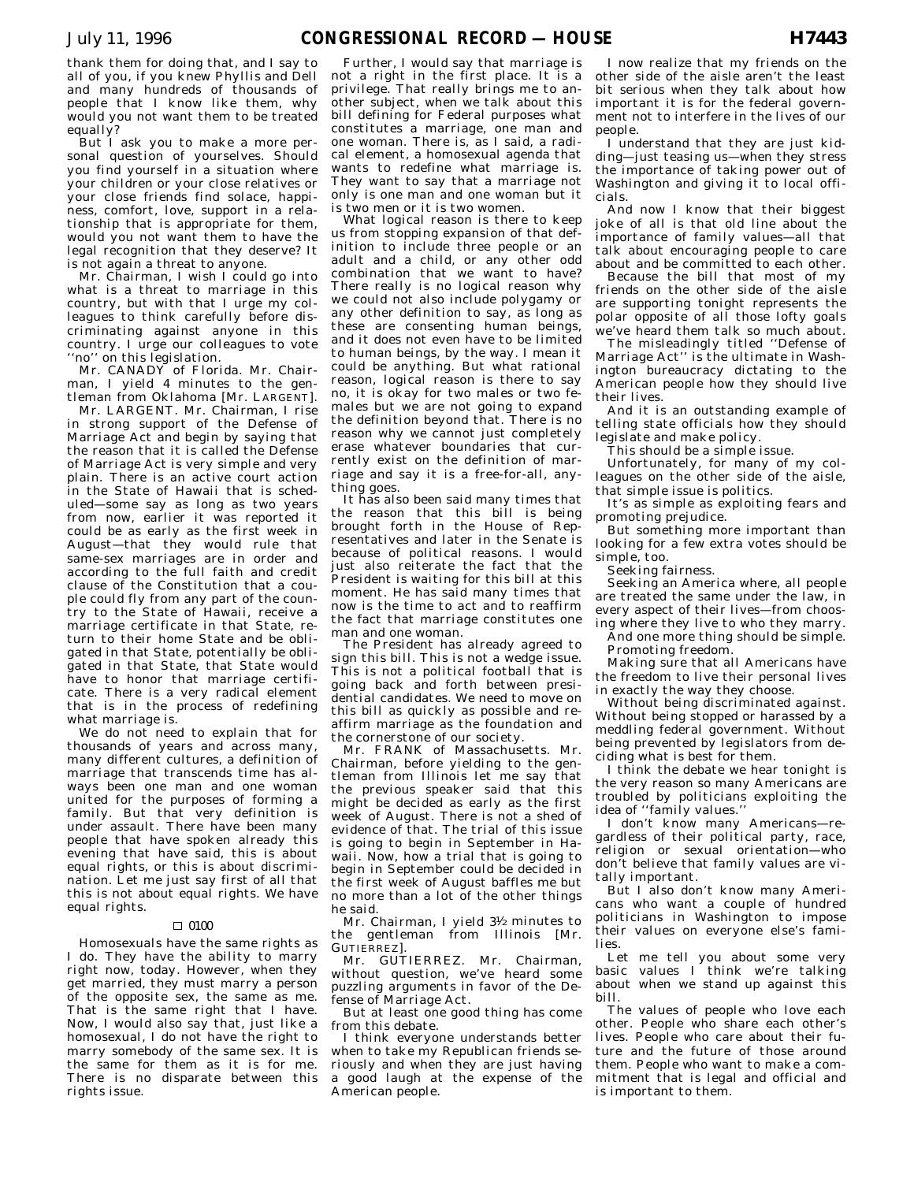thank them for doing that, and I say to all of you, if you knew Phyllis and Dell and many hundreds of thousands of people that I know like them, why would you not want them to be treated equally?

But I ask you to make a more personal question of yourselves. Should you find yourself in a situation where your children or your close relatives or your close friends find solace, happiness, comfort, love, support in a relationship that is appropriate for them, would you not want them to have the legal recognition that they deserve? It is not again a threat to anyone.

Mr. Chairman, I wish I could go into what is a threat to marriage in this country, but with that I urge my colleagues to think carefully before discriminating against anyone in this country. I urge our colleagues to vote 'no'' on this legislation.

Mr. CANADY of Florida. Mr. Chairman, I yield 4 minutes to the gentleman from Oklahoma [Mr. LARGENT].

Mr. LARGENT. Mr. Chairman, I rise in strong support of the Defense of Marriage Act and begin by saying that the reason that it is called the Defense of Marriage Act is very simple and very plain. There is an active court action in the State of Hawaii that is scheduled—some say as long as two years from now, earlier it was reported it could be as early as the first week in August—that they would rule that same-sex marriages are in order and according to the full faith and credit clause of the Constitution that a couple could fly from any part of the country to the State of Hawaii, receive a marriage certificate in that State, return to their home State and be obligated in that State, potentially be obligated in that State, that State would have to honor that marriage certificate. There is a very radical element that is in the process of redefining what marriage is.

We do not need to explain that for thousands of years and across many, many different cultures, a definition of marriage that transcends time has always been one man and one woman united for the purposes of forming a family. But that very definition is under assault. There have been many people that have spoken already this evening that have said, this is about equal rights, or this is about discrimination. Let me just say first of all that this is not about equal rights. We have equal rights.

### $\Box$  0100

Homosexuals have the same rights as I do. They have the ability to marry right now, today. However, when they get married, they must marry a person of the opposite sex, the same as me. That is the same right that I have. Now, I would also say that, just like a homosexual, I do not have the right to marry somebody of the same sex. It is the same for them as it is for me. There is no disparate between this rights issue.

Further, I would say that marriage is not a right in the first place. It is a privilege. That really brings me to another subject, when we talk about this bill defining for Federal purposes what constitutes a marriage, one man and one woman. There is, as I said, a radical element, a homosexual agenda that wants to redefine what marriage is. They want to say that a marriage not only is one man and one woman but it is two men or it is two women.

What logical reason is there to keep us from stopping expansion of that definition to include three people or an adult and a child, or any other odd combination that we want to have? There really is no logical reason why we could not also include polygamy or any other definition to say, as long as these are consenting human beings, and it does not even have to be limited to human beings, by the way. I mean it could be anything. But what rational reason, logical reason is there to say no, it is okay for two males or two females but we are not going to expand the definition beyond that. There is no reason why we cannot just completely erase whatever boundaries that currently exist on the definition of marriage and say it is a free-for-all, anything goes.

It has also been said many times that the reason that this bill is being brought forth in the House of Representatives and later in the Senate is because of political reasons. I would just also reiterate the fact that the President is waiting for this bill at this moment. He has said many times that now is the time to act and to reaffirm the fact that marriage constitutes one man and one woman.

The President has already agreed to sign this bill. This is not a wedge issue. This is not a political football that is going back and forth between presidential candidates. We need to move on this bill as quickly as possible and reaffirm marriage as the foundation and the cornerstone of our society.

Mr. FRANK of Massachusetts. Mr. Chairman, before yielding to the gentleman from Illinois let me say that the previous speaker said that this might be decided as early as the first week of August. There is not a shed of evidence of that. The trial of this issue is going to begin in September in Hawaii. Now, how a trial that is going to begin in September could be decided in the first week of August baffles me but no more than a lot of the other things he said.

Mr. Chairman, I yield 31⁄2 minutes to the gentleman from Illinois [Mr. GUTIERREZ].

Mr. GUTIERREZ. Mr. Chairman, without question, we've heard some puzzling arguments in favor of the Defense of Marriage Act.

But at least one good thing has come from this debate.

I think everyone understands better when to take my Republican friends seriously and when they are just having a good laugh at the expense of the American people.

I now realize that my friends on the other side of the aisle aren't the least bit serious when they talk about how important it is for the federal government not to interfere in the lives of our people.

I understand that they are just kidding—just teasing us—when they stress the importance of taking power out of Washington and giving it to local officials.

And now I know that their biggest joke of all is that old line about the importance of family values—all that talk about encouraging people to care about and be committed to each other.

Because the bill that most of my friends on the other side of the aisle are supporting tonight represents the polar opposite of all those lofty goals we've heard them talk so much about.

The misleadingly titled ''Defense of Marriage Act'' is the ultimate in Washington bureaucracy dictating to the American people how they should live their lives.

And it is an outstanding example of telling state officials how they should legislate and make policy.

This should be a simple issue.

Unfortunately, for many of my colleagues on the other side of the aisle, that simple issue is politics.

It's as simple as exploiting fears and promoting prejudice.

But something more important than looking for a few extra votes should be simple, too.

Seeking fairness.

Seeking an America where, all people are treated the same under the law, in every aspect of their lives—from choosing where they live to who they marry.

And one more thing should be simple. Promoting freedom.

Making sure that all Americans have the freedom to live their personal lives in exactly the way they choose.

Without being discriminated against. Without being stopped or harassed by a meddling federal government. Without being prevented by legislators from deciding what is best for them.

I think the debate we hear tonight is the very reason so many Americans are troubled by politicians exploiting the idea of ''family values.''

I don't know many Americans—regardless of their political party, race, religion or sexual orientation—who don't believe that family values are vitally important.

But I also don't know many Americans who want a couple of hundred politicians in Washington to impose their values on everyone else's families.

Let me tell you about some very basic values  $I$  think we're talking about when we stand up against this bill.

The values of people who love each other. People who share each other's lives. People who care about their future and the future of those around them. People who want to make a commitment that is legal and official and is important to them.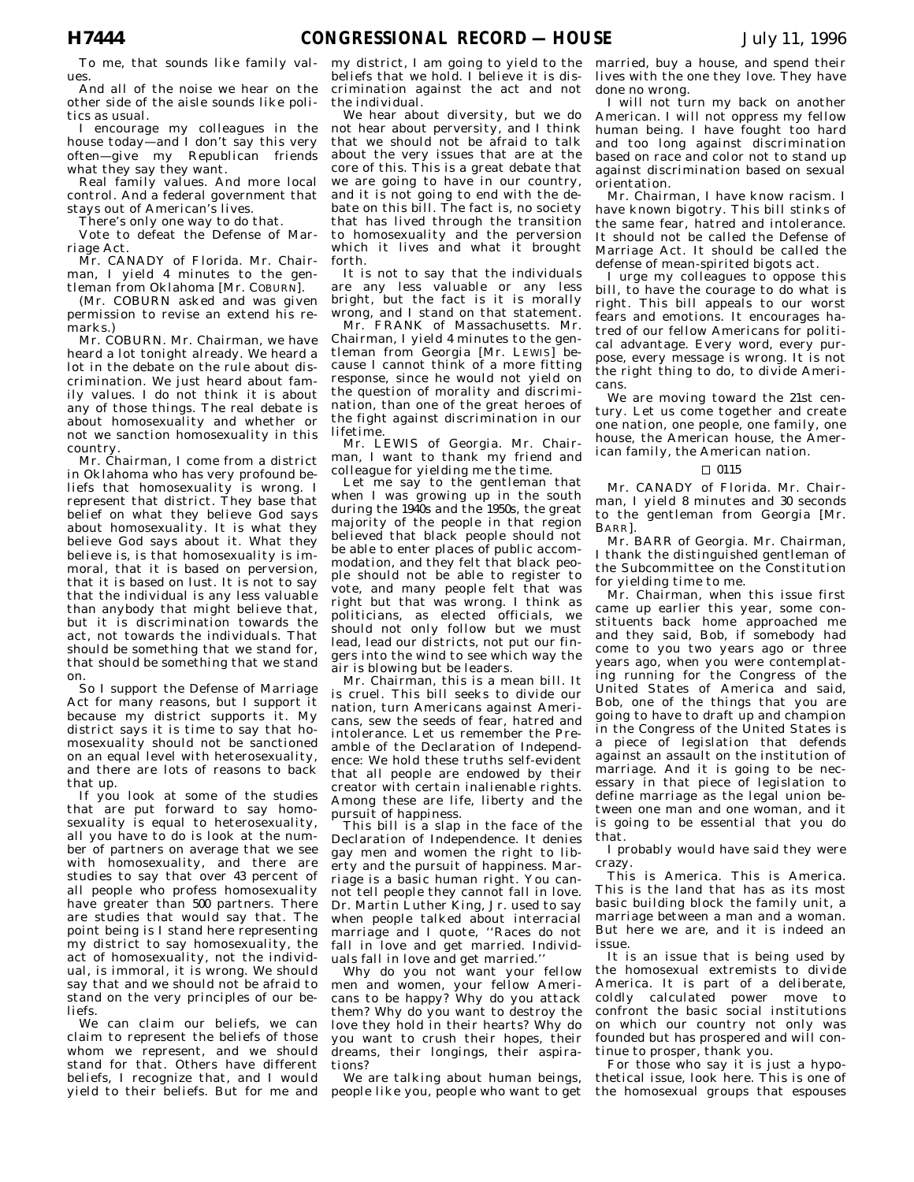To me, that sounds like family values.

And all of the noise we hear on the other side of the aisle sounds like politics as usual.

I encourage my colleagues in the house today—and I don't say this very often—give my Republican friends what they say they want.

Real family values. And more local control. And a federal government that stays out of American's lives.

There's only one way to do that.

Vote to defeat the Defense of Marriage Act.

Mr. CANADY of Florida. Mr. Chairman, I yield 4 minutes to the gentleman from Oklahoma [Mr. COBURN].

(Mr. COBURN asked and was given permission to revise an extend his remarks.)

Mr. COBURN. Mr. Chairman, we have heard a lot tonight already. We heard a lot in the debate on the rule about discrimination. We just heard about family values. I do not think it is about any of those things. The real debate is about homosexuality and whether or not we sanction homosexuality in this country.

Mr. Chairman, I come from a district in Oklahoma who has very profound beliefs that homosexuality is wrong. I represent that district. They base that belief on what they believe God says about homosexuality. It is what they believe God says about it. What they believe is, is that homosexuality is immoral, that it is based on perversion, that it is based on lust. It is not to say that the individual is any less valuable than anybody that might believe that, but it is discrimination towards the act, not towards the individuals. That should be something that we stand for, that should be something that we stand on.

So I support the Defense of Marriage Act for many reasons, but I support it because my district supports it. My district says it is time to say that homosexuality should not be sanctioned on an equal level with heterosexuality, and there are lots of reasons to back that up.

If you look at some of the studies that are put forward to say homosexuality is equal to heterosexuality, all you have to do is look at the number of partners on average that we see with homosexuality, and there are studies to say that over 43 percent of all people who profess homosexuality have greater than 500 partners. There are studies that would say that. The point being is I stand here representing my district to say homosexuality, the act of homosexuality, not the individual, is immoral, it is wrong. We should say that and we should not be afraid to stand on the very principles of our beliefs.

We can claim our beliefs, we can claim to represent the beliefs of those whom we represent, and we should stand for that. Others have different beliefs, I recognize that, and I would yield to their beliefs. But for me and

my district, I am going to yield to the beliefs that we hold. I believe it is discrimination against the act and not the individual.

We hear about diversity, but we do not hear about perversity, and I think that we should not be afraid to talk about the very issues that are at the core of this. This is a great debate that we are going to have in our country, and it is not going to end with the debate on this bill. The fact is, no society that has lived through the transition to homosexuality and the perversion which it lives and what it brought forth.

It is not to say that the individuals are any less valuable or any less bright, but the fact is it is morally wrong, and I stand on that statement.

Mr. FRANK of Massachusetts. Mr. Chairman, I yield 4 minutes to the gentleman from Georgia [Mr. LEWIS] because I cannot think of a more fitting response, since he would not yield on the question of morality and discrimination, than one of the great heroes of the fight against discrimination in our lifetime.

Mr. LEWIS of Georgia. Mr. Chairman, I want to thank my friend and colleague for yielding me the time.

Let me say to the gentleman that when I was growing up in the south during the 1940s and the 1950s, the great majority of the people in that region believed that black people should not be able to enter places of public accommodation, and they felt that black people should not be able to register to vote, and many people felt that was right but that was wrong. I think as politicians, as elected officials, we should not only follow but we must lead, lead our districts, not put our fingers into the wind to see which way the air is blowing but be leaders.

Mr. Chairman, this is a mean bill. It is cruel. This bill seeks to divide our nation, turn Americans against Americans, sew the seeds of fear, hatred and intolerance. Let us remember the Preamble of the Declaration of Independence: We hold these truths self-evident that all people are endowed by their creator with certain inalienable rights. Among these are life, liberty and the pursuit of happiness.

This bill is a slap in the face of the Declaration of Independence. It denies gay men and women the right to liberty and the pursuit of happiness. Marriage is a basic human right. You cannot tell people they cannot fall in love. Dr. Martin Luther King, Jr. used to say when people talked about interracial marriage and I quote, ''Races do not fall in love and get married. Individuals fall in love and get married.''

Why do you not want your fellow men and women, your fellow Americans to be happy? Why do you attack them? Why do you want to destroy the love they hold in their hearts? Why do you want to crush their hopes, their dreams, their longings, their aspirations?

We are talking about human beings, people like you, people who want to get

married, buy a house, and spend their lives with the one they love. They have done no wrong.

I will not turn my back on another American. I will not oppress my fellow human being. I have fought too hard and too long against discrimination based on race and color not to stand up against discrimination based on sexual orientation.

Mr. Chairman, I have know racism. I have known bigotry. This bill stinks of the same fear, hatred and intolerance. It should not be called the Defense of Marriage Act. It should be called the defense of mean-spirited bigots act.

I urge my colleagues to oppose this bill, to have the courage to do what is right. This bill appeals to our worst fears and emotions. It encourages hatred of our fellow Americans for political advantage. Every word, every purpose, every message is wrong. It is not the right thing to do, to divide Americans.

We are moving toward the 21st century. Let us come together and create one nation, one people, one family, one house, the American house, the American family, the American nation.

## $\square$  0115

Mr. CANADY of Florida. Mr. Chairman, I yield 8 minutes and 30 seconds to the gentleman from Georgia [Mr. BARR].

Mr. BARR of Georgia. Mr. Chairman, I thank the distinguished gentleman of the Subcommittee on the Constitution for yielding time to me.

Mr. Chairman, when this issue first came up earlier this year, some constituents back home approached me and they said, Bob, if somebody had come to you two years ago or three years ago, when you were contemplating running for the Congress of the United States of America and said, Bob, one of the things that you are going to have to draft up and champion in the Congress of the United States is a piece of legislation that defends against an assault on the institution of marriage. And it is going to be necessary in that piece of legislation to define marriage as the legal union between one man and one woman, and it is going to be essential that you do that.

I probably would have said they were crazy.

This is America. This is America. This is the land that has as its most basic building block the family unit, a marriage between a man and a woman. But here we are, and it is indeed an issue.

It is an issue that is being used by the homosexual extremists to divide America. It is part of a deliberate, coldly calculated power move to confront the basic social institutions on which our country not only was founded but has prospered and will continue to prosper, thank you.

For those who say it is just a hypothetical issue, look here. This is one of the homosexual groups that espouses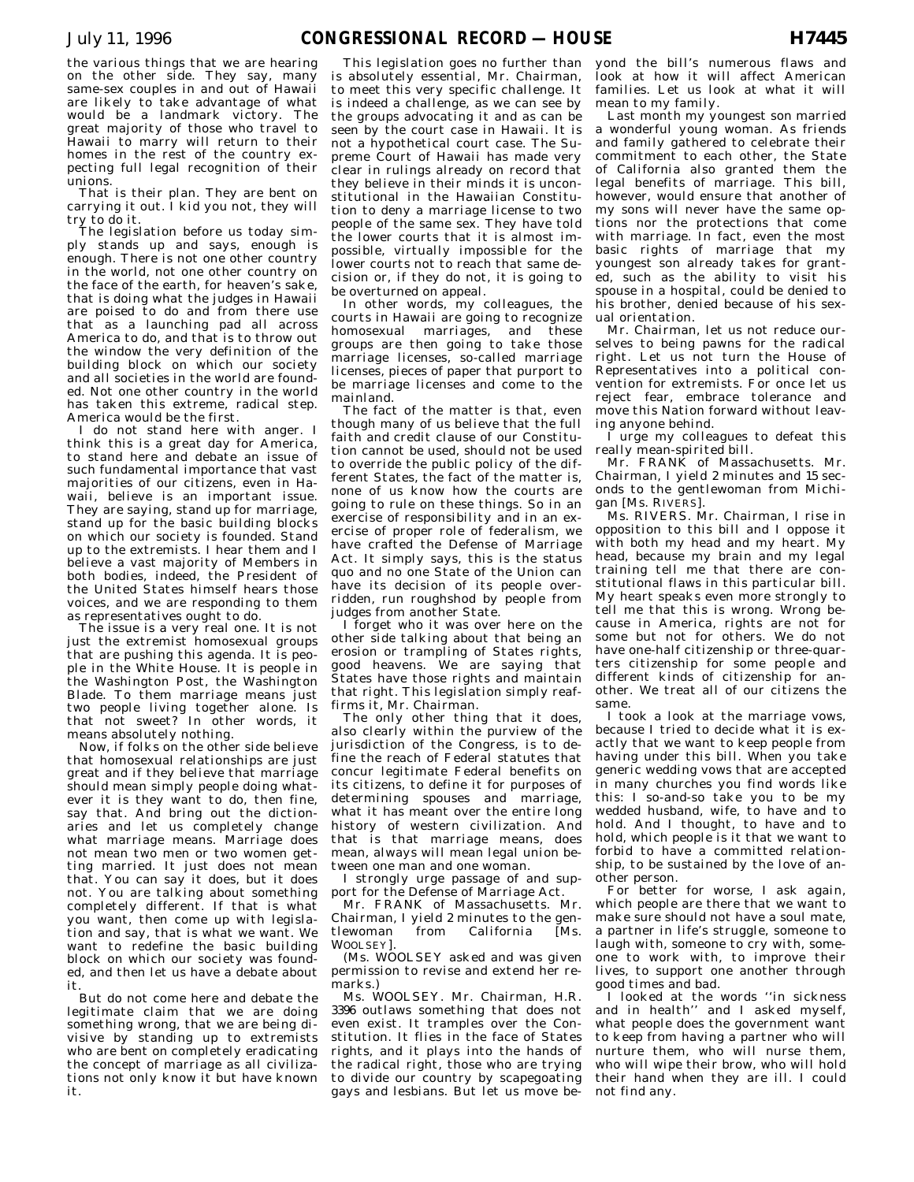the various things that we are hearing on the other side. They say, many same-sex couples in and out of Hawaii are likely to take advantage of what would be a landmark victory. The great majority of those who travel to Hawaii to marry will return to their homes in the rest of the country expecting full legal recognition of their unions.

That is their plan. They are bent on carrying it out. I kid you not, they will try to do it.

The legislation before us today simply stands up and says, enough is enough. There is not one other country in the world, not one other country on the face of the earth, for heaven's sake, that is doing what the judges in Hawaii are poised to do and from there use that as a launching pad all across America to do, and that is to throw out the window the very definition of the building block on which our society and all societies in the world are founded. Not one other country in the world has taken this extreme, radical step. America would be the first.

I do not stand here with anger. I think this is a great day for America, to stand here and debate an issue of such fundamental importance that vast majorities of our citizens, even in Hawaii, believe is an important issue. They are saying, stand up for marriage, stand up for the basic building blocks on which our society is founded. Stand up to the extremists. I hear them and I believe a vast majority of Members in both bodies, indeed, the President of the United States himself hears those voices, and we are responding to them as representatives ought to do.

The issue is a very real one. It is not just the extremist homosexual groups that are pushing this agenda. It is people in the White House. It is people in the Washington Post, the Washington Blade. To them marriage means just two people living together alone. Is that not sweet? In other words, it means absolutely nothing.

Now, if folks on the other side believe that homosexual relationships are just great and if they believe that marriage should mean simply people doing whatever it is they want to do, then fine, say that. And bring out the dictionaries and let us completely change what marriage means. Marriage does not mean two men or two women getting married. It just does not mean that. You can say it does, but it does not. You are talking about something completely different. If that is what you want, then come up with legislation and say, that is what we want. We want to redefine the basic building block on which our society was founded, and then let us have a debate about it.

But do not come here and debate the legitimate claim that we are doing something wrong, that we are being divisive by standing up to extremists who are bent on completely eradicating the concept of marriage as all civilizations not only know it but have known it.

This legislation goes no further than is absolutely essential, Mr. Chairman, to meet this very specific challenge. It is indeed a challenge, as we can see by the groups advocating it and as can be seen by the court case in Hawaii. It is not a hypothetical court case. The Supreme Court of Hawaii has made very clear in rulings already on record that they believe in their minds it is unconstitutional in the Hawaiian Constitution to deny a marriage license to two people of the same sex. They have told the lower courts that it is almost impossible, virtually impossible for the lower courts not to reach that same decision or, if they do not, it is going to be overturned on appeal.

In other words, my colleagues, the courts in Hawaii are going to recognize homosexual marriages, and these groups are then going to take those marriage licenses, so-called marriage licenses, pieces of paper that purport to be marriage licenses and come to the mainland.

The fact of the matter is that, even though many of us believe that the full faith and credit clause of our Constitution cannot be used, should not be used to override the public policy of the different States, the fact of the matter is, none of us know how the courts are going to rule on these things. So in an exercise of responsibility and in an exercise of proper role of federalism, we have crafted the Defense of Marriage Act. It simply says, this is the status quo and no one State of the Union can have its decision of its people overridden, run roughshod by people from judges from another State.

I forget who it was over here on the other side talking about that being an erosion or trampling of States rights, good heavens. We are saying that States have those rights and maintain that right. This legislation simply reaffirms it, Mr. Chairman.

The only other thing that it does, also clearly within the purview of the jurisdiction of the Congress, is to define the reach of Federal statutes that concur legitimate Federal benefits on its citizens, to define it for purposes of determining spouses and marriage, what it has meant over the entire long history of western civilization. And that is that marriage means, does mean, always will mean legal union between one man and one woman.

I strongly urge passage of and support for the Defense of Marriage Act.

Mr. FRANK of Massachusetts. Mr. Chairman, I yield 2 minutes to the gentlewoman from California [Ms. WOOLSEY].

(Ms. WOOLSEY asked and was given permission to revise and extend her remarks.)

Ms. WOOLSEY. Mr. Chairman, H.R. 3396 outlaws something that does not even exist. It tramples over the Constitution. It flies in the face of States rights, and it plays into the hands of the radical right, those who are trying to divide our country by scapegoating gays and lesbians. But let us move be-

yond the bill's numerous flaws and look at how it will affect American families. Let us look at what it will mean to my family.

Last month my youngest son married a wonderful young woman. As friends and family gathered to celebrate their commitment to each other, the State of California also granted them the legal benefits of marriage. This bill, however, would ensure that another of my sons will never have the same options nor the protections that come with marriage. In fact, even the most basic rights of marriage that my youngest son already takes for granted, such as the ability to visit his spouse in a hospital, could be denied to his brother, denied because of his sexual orientation.

Mr. Chairman, let us not reduce ourselves to being pawns for the radical right. Let us not turn the House of Representatives into a political convention for extremists. For once let us reject fear, embrace tolerance and move this Nation forward without leaving anyone behind.

I urge my colleagues to defeat this really mean-spirited bill.

Mr. FRANK of Massachusetts. Mr. Chairman, I yield 2 minutes and 15 seconds to the gentlewoman from Michigan [Ms. RIVERS].

Ms. RIVERS. Mr. Chairman, I rise in opposition to this bill and I oppose it with both my head and my heart. My head, because my brain and my legal training tell me that there are constitutional flaws in this particular bill. My heart speaks even more strongly to tell me that this is wrong. Wrong because in America, rights are not for some but not for others. We do not have one-half citizenship or three-quarters citizenship for some people and different kinds of citizenship for another. We treat all of our citizens the same.

I took a look at the marriage vows, because I tried to decide what it is exactly that we want to keep people from having under this bill. When you take generic wedding vows that are accepted in many churches you find words like this: I so-and-so take you to be my wedded husband, wife, to have and to hold. And I thought, to have and to hold, which people is it that we want to forbid to have a committed relationship, to be sustained by the love of another person.

For better for worse, I ask again, which people are there that we want to make sure should not have a soul mate, a partner in life's struggle, someone to laugh with, someone to cry with, someone to work with, to improve their lives, to support one another through good times and bad.

I looked at the words ''in sickness and in health'' and I asked myself, what people does the government want to keep from having a partner who will nurture them, who will nurse them, who will wipe their brow, who will hold their hand when they are ill. I could not find any.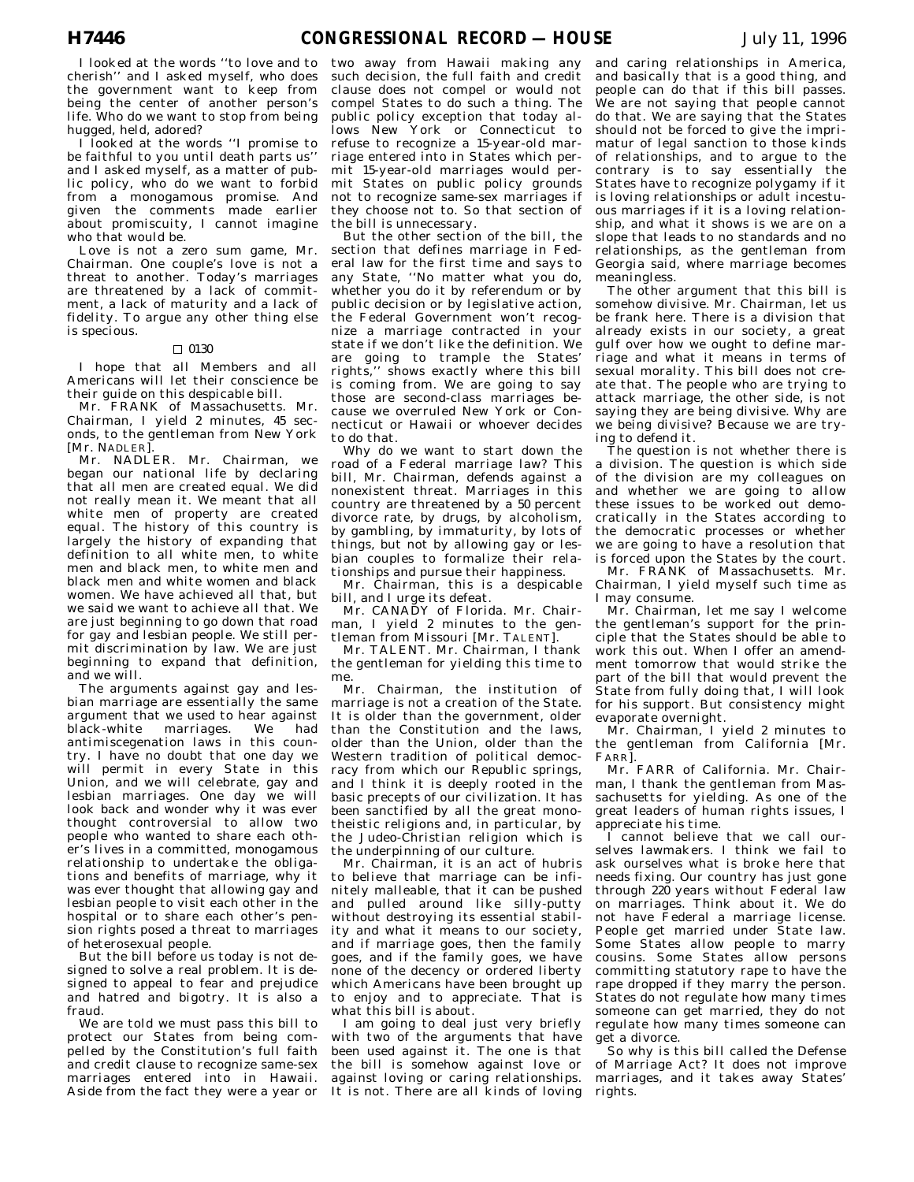I looked at the words ''to love and to cherish'' and I asked myself, who does the government want to keep from being the center of another person's life. Who do we want to stop from being hugged, held, adored?

I looked at the words ''I promise to be faithful to you until death parts us'' and I asked myself, as a matter of public policy, who do we want to forbid from a monogamous promise. And given the comments made earlier about promiscuity, I cannot imagine who that would be.

Love is not a zero sum game, Mr. Chairman. One couple's love is not a threat to another. Today's marriages are threatened by a lack of commitment, a lack of maturity and a lack of fidelity. To argue any other thing else is specious.

#### $\Box$  0130

I hope that all Members and all Americans will let their conscience be their guide on this despicable bill.

Mr. FRANK of Massachusetts. Mr. Chairman, I yield 2 minutes, 45 seconds, to the gentleman from New York [Mr. NADLER].

Mr. NADLER. Mr. Chairman, we began our national life by declaring that all men are created equal. We did not really mean it. We meant that all white men of property are created equal. The history of this country is largely the history of expanding that definition to all white men, to white men and black men, to white men and black men and white women and black women. We have achieved all that, but we said we want to achieve all that. We are just beginning to go down that road for gay and lesbian people. We still permit discrimination by law. We are just beginning to expand that definition, and we will.

The arguments against gay and lesbian marriage are essentially the same argument that we used to hear against black-white marriages. We had antimiscegenation laws in this country. I have no doubt that one day we will permit in every State in this Union, and we will celebrate, gay and lesbian marriages. One day we will look back and wonder why it was ever thought controversial to allow two people who wanted to share each other's lives in a committed, monogamous relationship to undertake the obligations and benefits of marriage, why it was ever thought that allowing gay and lesbian people to visit each other in the hospital or to share each other's pension rights posed a threat to marriages of heterosexual people.

But the bill before us today is not designed to solve a real problem. It is designed to appeal to fear and prejudice and hatred and bigotry. It is also a fraud.

We are told we must pass this bill to protect our States from being compelled by the Constitution's full faith and credit clause to recognize same-sex marriages entered into in Hawaii. Aside from the fact they were a year or

two away from Hawaii making any such decision, the full faith and credit clause does not compel or would not compel States to do such a thing. The public policy exception that today allows New York or Connecticut to refuse to recognize a 15-year-old marriage entered into in States which permit 15-year-old marriages would permit States on public policy grounds not to recognize same-sex marriages if they choose not to. So that section of the bill is unnecessary.

But the other section of the bill, the section that defines marriage in Federal law for the first time and says to any State, ''No matter what you do, whether you do it by referendum or by public decision or by legislative action, the Federal Government won't recognize a marriage contracted in your state if we don't like the definition. We are going to trample the States' rights,'' shows exactly where this bill is coming from. We are going to say those are second-class marriages because we overruled New York or Connecticut or Hawaii or whoever decides to do that.

Why do we want to start down the road of a Federal marriage law? This bill, Mr. Chairman, defends against a nonexistent threat. Marriages in this country are threatened by a 50 percent divorce rate, by drugs, by alcoholism, by gambling, by immaturity, by lots of things, but not by allowing gay or lesbian couples to formalize their relationships and pursue their happiness.

Mr. Chairman, this is a despicable bill, and I urge its defeat.

Mr. CANADY of Florida. Mr. Chairman, I yield 2 minutes to the gentleman from Missouri [Mr. TALENT].

Mr. TALENT. Mr. Chairman, I thank the gentleman for yielding this time to me.

Mr. Chairman, the institution of marriage is not a creation of the State. It is older than the government, older than the Constitution and the laws, older than the Union, older than the Western tradition of political democracy from which our Republic springs, and I think it is deeply rooted in the basic precepts of our civilization. It has been sanctified by all the great monotheistic religions and, in particular, by the Judeo-Christian religion which is the underpinning of our culture.

Mr. Chairman, it is an act of hubris to believe that marriage can be infinitely malleable, that it can be pushed and pulled around like silly-putty without destroying its essential stability and what it means to our society, and if marriage goes, then the family goes, and if the family goes, we have none of the decency or ordered liberty which Americans have been brought up to enjoy and to appreciate. That is what this bill is about.

I am going to deal just very briefly with two of the arguments that have been used against it. The one is that the bill is somehow against love or against loving or caring relationships. It is not. There are all kinds of loving

and caring relationships in America, and basically that is a good thing, and people can do that if this bill passes. We are not saying that people cannot do that. We are saying that the States should not be forced to give the imprimatur of legal sanction to those kinds of relationships, and to argue to the contrary is to say essentially the States have to recognize polygamy if it is loving relationships or adult incestuous marriages if it is a loving relationship, and what it shows is we are on a slope that leads to no standards and no relationships, as the gentleman from Georgia said, where marriage becomes meaningless.

The other argument that this bill is somehow divisive. Mr. Chairman, let us be frank here. There is a division that already exists in our society, a great gulf over how we ought to define marriage and what it means in terms of sexual morality. This bill does not create that. The people who are trying to attack marriage, the other side, is not saying they are being divisive. Why are we being divisive? Because we are trying to defend it.

The question is not whether there is a division. The question is which side of the division are my colleagues on and whether we are going to allow these issues to be worked out democratically in the States according to the democratic processes or whether we are going to have a resolution that is forced upon the States by the court.

Mr. FRANK of Massachusetts. Mr. Chairman, I yield myself such time as I may consume.

Mr. Chairman, let me say I welcome the gentleman's support for the principle that the States should be able to work this out. When I offer an amendment tomorrow that would strike the part of the bill that would prevent the State from fully doing that, I will look for his support. But consistency might evaporate overnight.

Mr. Chairman, I yield 2 minutes to the gentleman from California [Mr. FARR].

Mr. FARR of California. Mr. Chairman, I thank the gentleman from Massachusetts for yielding. As one of the great leaders of human rights issues, I appreciate his time.

I cannot believe that we call ourselves lawmakers. I think we fail to ask ourselves what is broke here that needs fixing. Our country has just gone through 220 years without Federal law on marriages. Think about it. We do not have Federal a marriage license. People get married under State law. Some States allow people to marry cousins. Some States allow persons committing statutory rape to have the rape dropped if they marry the person. States do not regulate how many times someone can get married, they do not regulate how many times someone can get a divorce.

So why is this bill called the Defense of Marriage Act? It does not improve marriages, and it takes away States' rights.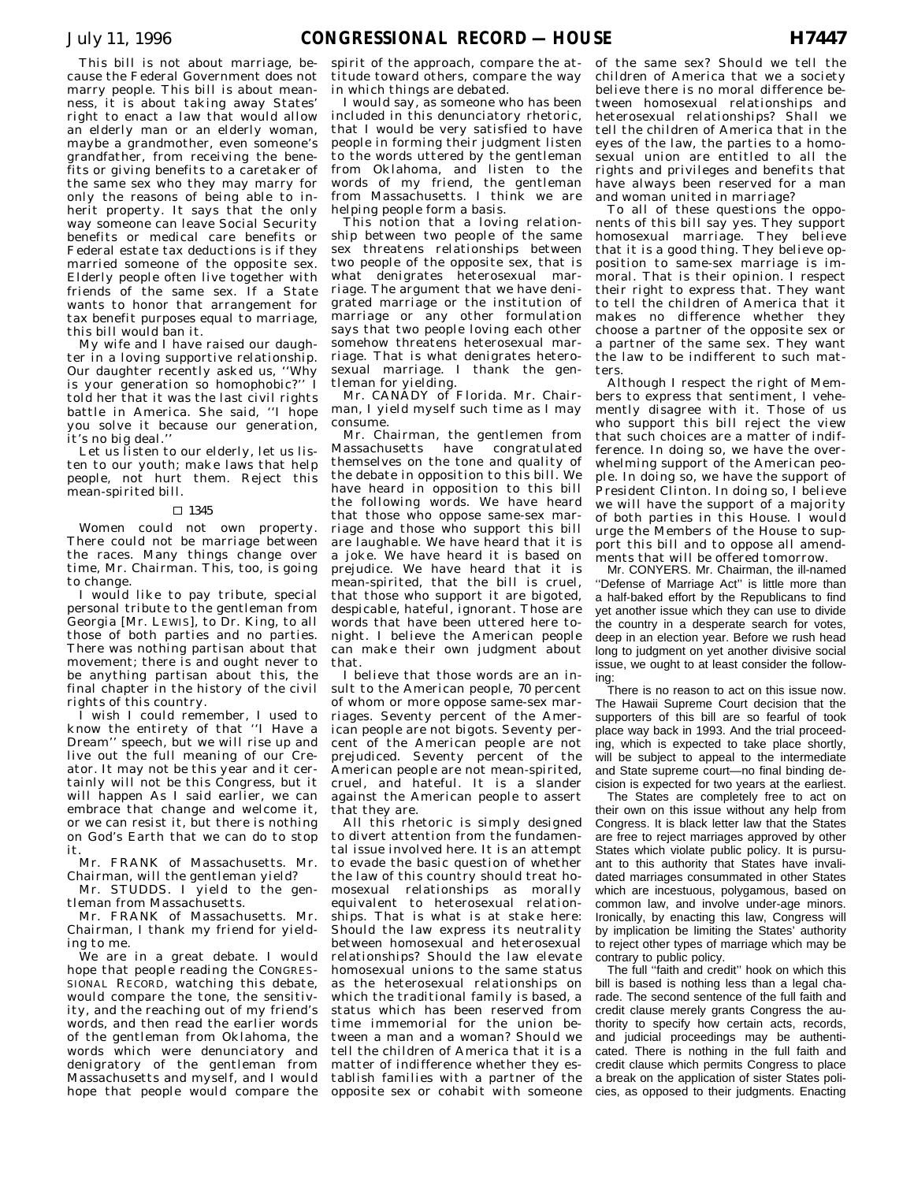This bill is not about marriage, because the Federal Government does not marry people. This bill is about meanness, it is about taking away States' right to enact a law that would allow an elderly man or an elderly woman, maybe a grandmother, even someone's grandfather, from receiving the benefits or giving benefits to a caretaker of the same sex who they may marry for only the reasons of being able to inherit property. It says that the only way someone can leave Social Security benefits or medical care benefits or Federal estate tax deductions is if they married someone of the opposite sex. Elderly people often live together with friends of the same sex. If a State wants to honor that arrangement for tax benefit purposes equal to marriage, this bill would ban it.

My wife and I have raised our daughter in a loving supportive relationship. Our daughter recently asked us, ''Why is your generation so homophobic?'' I told her that it was the last civil rights battle in America. She said, ''I hope you solve it because our generation, it's no big deal.''

Let us listen to our elderly, let us listen to our youth; make laws that help people, not hurt them. Reject this mean-spirited bill.

### $\Box$  1345

Women could not own property. There could not be marriage between the races. Many things change over time, Mr. Chairman. This, too, is going to change.

I would like to pay tribute, special personal tribute to the gentleman from Georgia [Mr. LEWIS], to Dr. King, to all those of both parties and no parties. There was nothing partisan about that movement; there is and ought never to be anything partisan about this, the final chapter in the history of the civil rights of this country.

I wish I could remember, I used to know the entirety of that ''I Have a Dream'' speech, but we will rise up and live out the full meaning of our Creator. It may not be this year and it certainly will not be this Congress, but it will happen As I said earlier, we can embrace that change and welcome it, or we can resist it, but there is nothing on God's Earth that we can do to stop it.

Mr. FRANK of Massachusetts. Mr. Chairman, will the gentleman yield?

Mr. STUDDS. I yield to the gentleman from Massachusetts.

Mr. FRANK of Massachusetts. Mr. Chairman, I thank my friend for yielding to me.

We are in a great debate. I would hope that people reading the CONGRES-SIONAL RECORD, watching this debate, would compare the tone, the sensitivity, and the reaching out of my friend's words, and then read the earlier words of the gentleman from Oklahoma, the words which were denunciatory and denigratory of the gentleman from Massachusetts and myself, and I would hope that people would compare the

spirit of the approach, compare the attitude toward others, compare the way in which things are debated.

I would say, as someone who has been included in this denunciatory rhetoric, that I would be very satisfied to have people in forming their judgment listen to the words uttered by the gentleman from Oklahoma, and listen to the words of my friend, the gentleman from Massachusetts. I think we are helping people form a basis.

This notion that a loving relationship between two people of the same sex threatens relationships between two people of the opposite sex, that is what denigrates heterosexual marriage. The argument that we have denigrated marriage or the institution of marriage or any other formulation says that two people loving each other somehow threatens heterosexual marriage. That is what denigrates heterosexual marriage. I thank the gentleman for yielding.

Mr. CANADY of Florida. Mr. Chairman, I yield myself such time as I may consume.

Mr. Chairman, the gentlemen from Massachusetts have congratulated themselves on the tone and quality of the debate in opposition to this bill. We have heard in opposition to this bill the following words. We have heard that those who oppose same-sex marriage and those who support this bill are laughable. We have heard that it is a joke. We have heard it is based on prejudice. We have heard that it is mean-spirited, that the bill is cruel, that those who support it are bigoted, despicable, hateful, ignorant. Those are words that have been uttered here tonight. I believe the American people can make their own judgment about that.

I believe that those words are an insult to the American people, 70 percent of whom or more oppose same-sex marriages. Seventy percent of the American people are not bigots. Seventy percent of the American people are not prejudiced. Seventy percent of the American people are not mean-spirited, cruel, and hateful. It is a slander against the American people to assert that they are.

All this rhetoric is simply designed to divert attention from the fundamental issue involved here. It is an attempt to evade the basic question of whether the law of this country should treat homosexual relationships as morally equivalent to heterosexual relationships. That is what is at stake here: Should the law express its neutrality between homosexual and heterosexual relationships? Should the law elevate homosexual unions to the same status as the heterosexual relationships on which the traditional family is based, a status which has been reserved from time immemorial for the union between a man and a woman? Should we tell the children of America that it is a matter of indifference whether they establish families with a partner of the opposite sex or cohabit with someone

of the same sex? Should we tell the children of America that we a society believe there is no moral difference between homosexual relationships and heterosexual relationships? Shall we tell the children of America that in the eyes of the law, the parties to a homosexual union are entitled to all the rights and privileges and benefits that have always been reserved for a man and woman united in marriage?

To all of these questions the opponents of this bill say yes. They support homosexual marriage. They believe that it is a good thing. They believe opposition to same-sex marriage is immoral. That is their opinion. I respect their right to express that. They want to tell the children of America that it makes no difference whether they choose a partner of the opposite sex or a partner of the same sex. They want the law to be indifferent to such matters.

Although I respect the right of Members to express that sentiment, I vehemently disagree with it. Those of us who support this bill reject the view that such choices are a matter of indifference. In doing so, we have the overwhelming support of the American people. In doing so, we have the support of President Clinton. In doing so, I believe we will have the support of a majority of both parties in this House. I would urge the Members of the House to support this bill and to oppose all amendments that will be offered tomorrow.

Mr. CONYERS. Mr. Chairman, the ill-named "Defense of Marriage Act" is little more than a half-baked effort by the Republicans to find yet another issue which they can use to divide the country in a desperate search for votes, deep in an election year. Before we rush head long to judgment on yet another divisive social issue, we ought to at least consider the following:

There is no reason to act on this issue now. The Hawaii Supreme Court decision that the supporters of this bill are so fearful of took place way back in 1993. And the trial proceeding, which is expected to take place shortly, will be subject to appeal to the intermediate and State supreme court—no final binding decision is expected for two years at the earliest.

The States are completely free to act on their own on this issue without any help from Congress. It is black letter law that the States are free to reject marriages approved by other States which violate public policy. It is pursuant to this authority that States have invalidated marriages consummated in other States which are incestuous, polygamous, based on common law, and involve under-age minors. Ironically, by enacting this law, Congress will by implication be limiting the States' authority to reject other types of marriage which may be contrary to public policy.

The full ''faith and credit'' hook on which this bill is based is nothing less than a legal charade. The second sentence of the full faith and credit clause merely grants Congress the authority to specify how certain acts, records, and judicial proceedings may be authenticated. There is nothing in the full faith and credit clause which permits Congress to place a break on the application of sister States policies, as opposed to their judgments. Enacting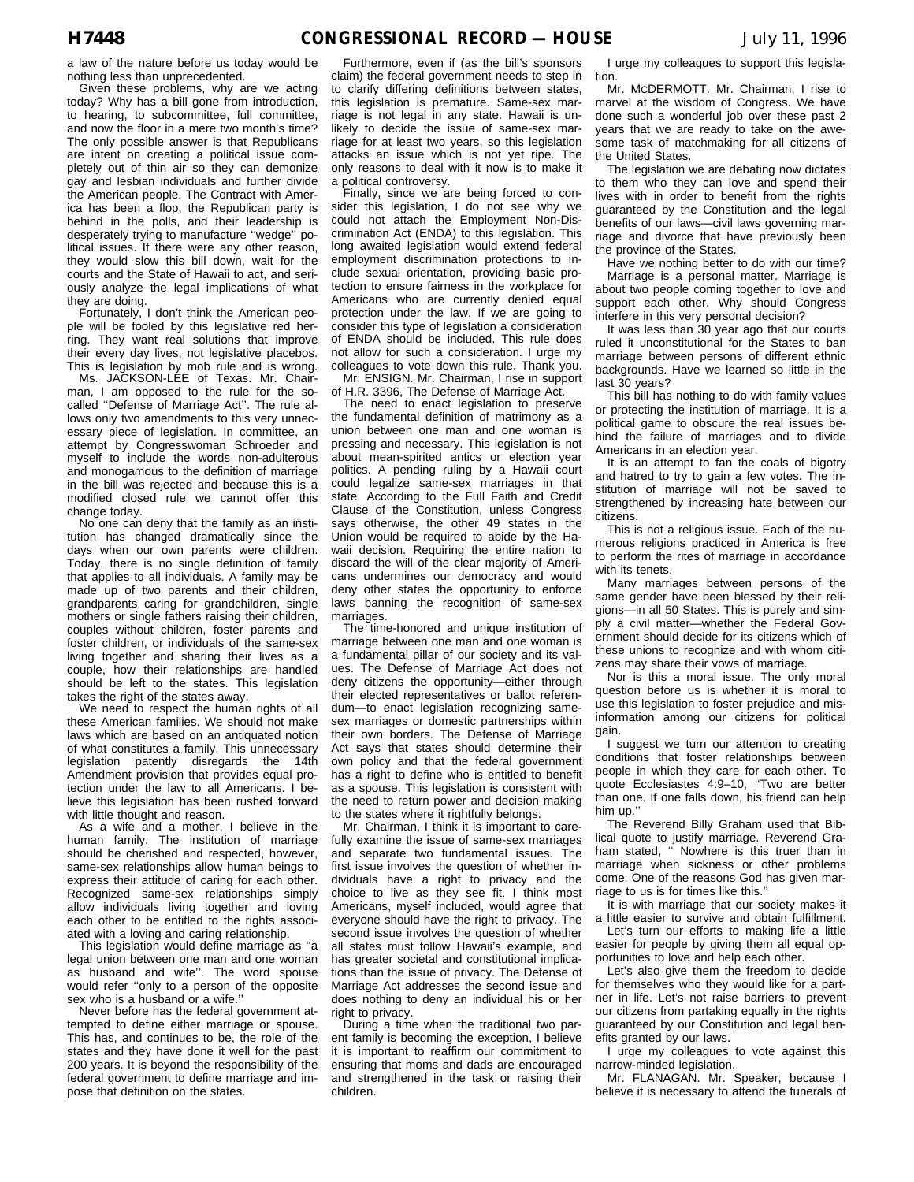a law of the nature before us today would be nothing less than unprecedented.

Given these problems, why are we acting today? Why has a bill gone from introduction, to hearing, to subcommittee, full committee, and now the floor in a mere two month's time? The only possible answer is that Republicans are intent on creating a political issue completely out of thin air so they can demonize gay and lesbian individuals and further divide the American people. The Contract with America has been a flop, the Republican party is behind in the polls, and their leadership is desperately trying to manufacture ''wedge'' political issues. If there were any other reason, they would slow this bill down, wait for the courts and the State of Hawaii to act, and seriously analyze the legal implications of what they are doing.

Fortunately, I don't think the American people will be fooled by this legislative red herring. They want real solutions that improve their every day lives, not legislative placebos. This is legislation by mob rule and is wrong.

Ms. JACKSON-LÉE of Texas. Mr. Chairman, I am opposed to the rule for the socalled ''Defense of Marriage Act''. The rule allows only two amendments to this very unnecessary piece of legislation. In committee, an attempt by Congresswoman Schroeder and myself to include the words non-adulterous and monogamous to the definition of marriage in the bill was rejected and because this is a modified closed rule we cannot offer this change today.

No one can deny that the family as an institution has changed dramatically since the days when our own parents were children. Today, there is no single definition of family that applies to all individuals. A family may be made up of two parents and their children, grandparents caring for grandchildren, single mothers or single fathers raising their children, couples without children, foster parents and foster children, or individuals of the same-sex living together and sharing their lives as a couple, how their relationships are handled should be left to the states. This legislation takes the right of the states away.

We need to respect the human rights of all these American families. We should not make laws which are based on an antiquated notion of what constitutes a family. This unnecessary legislation patently disregards the 14th Amendment provision that provides equal protection under the law to all Americans. I believe this legislation has been rushed forward with little thought and reason.

As a wife and a mother, I believe in the human family. The institution of marriage should be cherished and respected, however, same-sex relationships allow human beings to express their attitude of caring for each other. Recognized same-sex relationships simply allow individuals living together and loving each other to be entitled to the rights associated with a loving and caring relationship.

This legislation would define marriage as ''a legal union between one man and one woman as husband and wife''. The word spouse would refer ''only to a person of the opposite sex who is a husband or a wife.''

Never before has the federal government attempted to define either marriage or spouse. This has, and continues to be, the role of the states and they have done it well for the past 200 years. It is beyond the responsibility of the federal government to define marriage and impose that definition on the states.

Furthermore, even if (as the bill's sponsors claim) the federal government needs to step in to clarify differing definitions between states, this legislation is premature. Same-sex marriage is not legal in any state. Hawaii is unlikely to decide the issue of same-sex marriage for at least two years, so this legislation attacks an issue which is not yet ripe. The only reasons to deal with it now is to make it a political controversy.

Finally, since we are being forced to consider this legislation, I do not see why we could not attach the Employment Non-Discrimination Act (ENDA) to this legislation. This long awaited legislation would extend federal employment discrimination protections to include sexual orientation, providing basic protection to ensure fairness in the workplace for Americans who are currently denied equal protection under the law. If we are going to consider this type of legislation a consideration of ENDA should be included. This rule does not allow for such a consideration. I urge my colleagues to vote down this rule. Thank you. Mr. ENSIGN. Mr. Chairman, I rise in support

of H.R. 3396, The Defense of Marriage Act.

The need to enact legislation to preserve the fundamental definition of matrimony as a union between one man and one woman is pressing and necessary. This legislation is not about mean-spirited antics or election year politics. A pending ruling by a Hawaii court could legalize same-sex marriages in that state. According to the Full Faith and Credit Clause of the Constitution, unless Congress says otherwise, the other 49 states in the Union would be required to abide by the Hawaii decision. Requiring the entire nation to discard the will of the clear majority of Americans undermines our democracy and would deny other states the opportunity to enforce laws banning the recognition of same-sex marriages

The time-honored and unique institution of marriage between one man and one woman is a fundamental pillar of our society and its values. The Defense of Marriage Act does not deny citizens the opportunity—either through their elected representatives or ballot referendum—to enact legislation recognizing samesex marriages or domestic partnerships within their own borders. The Defense of Marriage Act says that states should determine their own policy and that the federal government has a right to define who is entitled to benefit as a spouse. This legislation is consistent with the need to return power and decision making to the states where it rightfully belongs.

Mr. Chairman, I think it is important to carefully examine the issue of same-sex marriages and separate two fundamental issues. The first issue involves the question of whether individuals have a right to privacy and the choice to live as they see fit. I think most Americans, myself included, would agree that everyone should have the right to privacy. The second issue involves the question of whether all states must follow Hawaii's example, and has greater societal and constitutional implications than the issue of privacy. The Defense of Marriage Act addresses the second issue and does nothing to deny an individual his or her right to privacy.

During a time when the traditional two parent family is becoming the exception, I believe it is important to reaffirm our commitment to ensuring that moms and dads are encouraged and strengthened in the task or raising their children.

I urge my colleagues to support this legislation.

Mr. MCDERMOTT. Mr. Chairman, I rise to marvel at the wisdom of Congress. We have done such a wonderful job over these past 2 years that we are ready to take on the awesome task of matchmaking for all citizens of the United States.

The legislation we are debating now dictates to them who they can love and spend their lives with in order to benefit from the rights guaranteed by the Constitution and the legal benefits of our laws—civil laws governing marriage and divorce that have previously been the province of the States.

Have we nothing better to do with our time? Marriage is a personal matter. Marriage is about two people coming together to love and support each other. Why should Congress interfere in this very personal decision?

It was less than 30 year ago that our courts ruled it unconstitutional for the States to ban marriage between persons of different ethnic backgrounds. Have we learned so little in the last 30 years?

This bill has nothing to do with family values or protecting the institution of marriage. It is a political game to obscure the real issues behind the failure of marriages and to divide Americans in an election year.

It is an attempt to fan the coals of bigotry and hatred to try to gain a few votes. The institution of marriage will not be saved to strengthened by increasing hate between our citizens.

This is not a religious issue. Each of the numerous religions practiced in America is free to perform the rites of marriage in accordance with its tenets.

Many marriages between persons of the same gender have been blessed by their religions—in all 50 States. This is purely and simply a civil matter—whether the Federal Government should decide for its citizens which of these unions to recognize and with whom citizens may share their vows of marriage.

Nor is this a moral issue. The only moral question before us is whether it is moral to use this legislation to foster prejudice and misinformation among our citizens for political gain.

I suggest we turn our attention to creating conditions that foster relationships between people in which they care for each other. To quote Ecclesiastes 4:9–10, ''Two are better than one. If one falls down, his friend can help him up.''

The Reverend Billy Graham used that Biblical quote to justify marriage. Reverend Graham stated, '' Nowhere is this truer than in marriage when sickness or other problems come. One of the reasons God has given marriage to us is for times like this.''

It is with marriage that our society makes it a little easier to survive and obtain fulfillment.

Let's turn our efforts to making life a little easier for people by giving them all equal opportunities to love and help each other.

Let's also give them the freedom to decide for themselves who they would like for a partner in life. Let's not raise barriers to prevent our citizens from partaking equally in the rights guaranteed by our Constitution and legal benefits granted by our laws.

I urge my colleagues to vote against this narrow-minded legislation.

Mr. FLANAGAN. Mr. Speaker, because I believe it is necessary to attend the funerals of